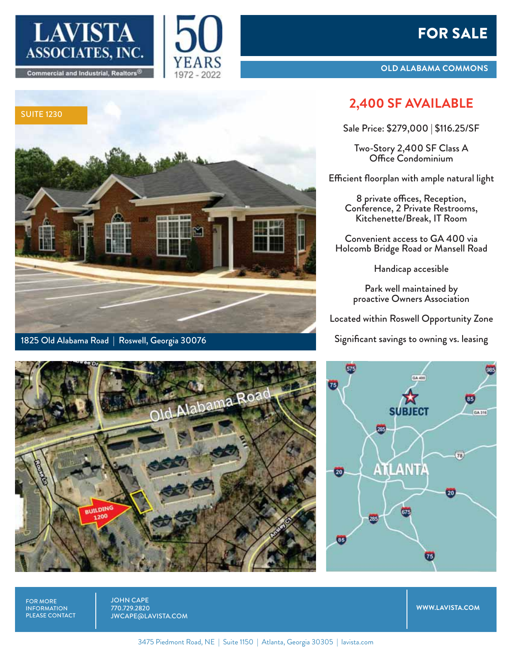# FOR SALE







1825 Old Alabama Road | Roswell, Georgia 30076



## **2,400 SF AVAILABLE**

Sale Price: \$279,000 | \$116.25/SF

Two-Story 2,400 SF Class A Office Condominium

Efficient floorplan with ample natural light

8 private offices, Reception, Conference, 2 Private Restrooms, Kitchenette/Break, IT Room

Convenient access to GA 400 via Holcomb Bridge Road or Mansell Road

Handicap accesible

Park well maintained by proactive Owners Association

Located within Roswell Opportunity Zone

Significant savings to owning vs. leasing





FOR MORE INFORMATION PLEASE CONTACT JOHN CAPE 770.729.2820 JWCAPE@LAVISTA.COM

**WWW.LAVISTA.COM**